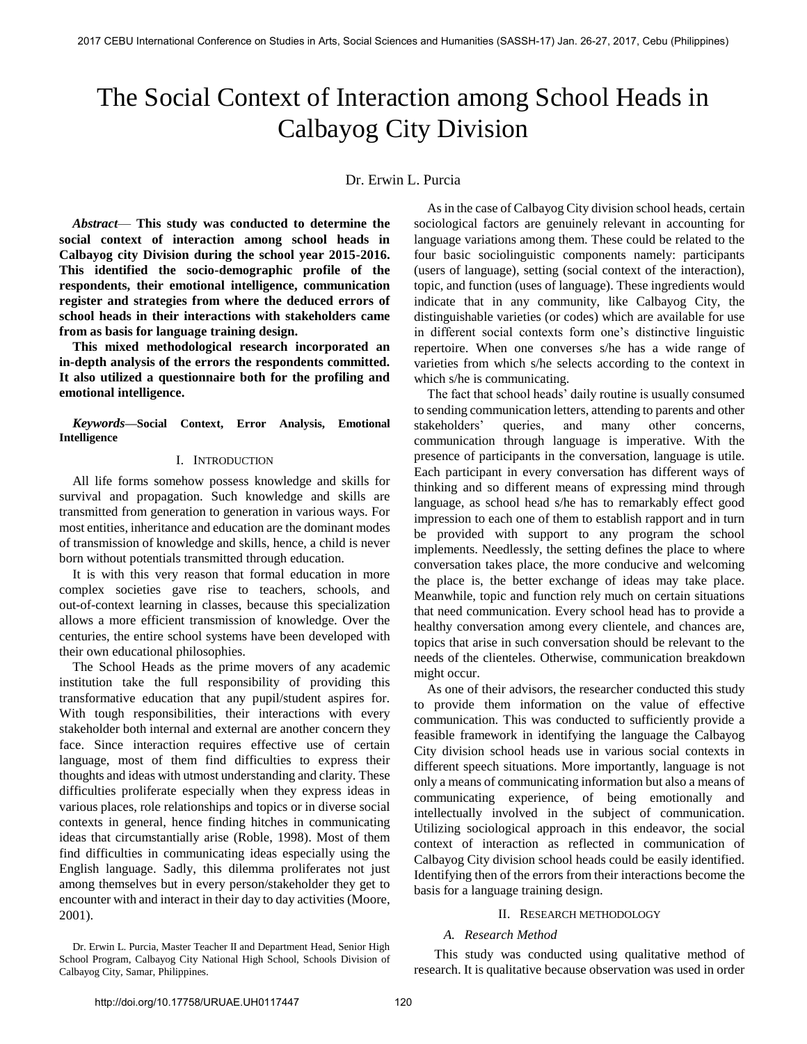# The Social Context of Interaction among School Heads in Calbayog City Division

# Dr. Erwin L. Purcia

*Abstract*— **This study was conducted to determine the social context of interaction among school heads in Calbayog city Division during the school year 2015-2016. This identified the socio-demographic profile of the respondents, their emotional intelligence, communication register and strategies from where the deduced errors of school heads in their interactions with stakeholders came from as basis for language training design.** 

 **This mixed methodological research incorporated an in-depth analysis of the errors the respondents committed. It also utilized a questionnaire both for the profiling and emotional intelligence.** 

*Keywords***—Social Context, Error Analysis, Emotional Intelligence** 

# I. INTRODUCTION

All life forms somehow possess knowledge and skills for survival and propagation. Such knowledge and skills are transmitted from generation to generation in various ways. For most entities, inheritance and education are the dominant modes of transmission of knowledge and skills, hence, a child is never born without potentials transmitted through education.

It is with this very reason that formal education in more complex societies gave rise to teachers, schools, and out-of-context learning in classes, because this specialization allows a more efficient transmission of knowledge. Over the centuries, the entire school systems have been developed with their own educational philosophies.

The School Heads as the prime movers of any academic institution take the full responsibility of providing this transformative education that any pupil/student aspires for. With tough responsibilities, their interactions with every stakeholder both internal and external are another concern they face. Since interaction requires effective use of certain language, most of them find difficulties to express their thoughts and ideas with utmost understanding and clarity. These difficulties proliferate especially when they express ideas in various places, role relationships and topics or in diverse social contexts in general, hence finding hitches in communicating ideas that circumstantially arise (Roble, 1998). Most of them find difficulties in communicating ideas especially using the English language. Sadly, this dilemma proliferates not just among themselves but in every person/stakeholder they get to encounter with and interact in their day to day activities (Moore, 2001).

 As in the case of Calbayog City division school heads, certain sociological factors are genuinely relevant in accounting for language variations among them. These could be related to the four basic sociolinguistic components namely: participants (users of language), setting (social context of the interaction), topic, and function (uses of language). These ingredients would indicate that in any community, like Calbayog City, the distinguishable varieties (or codes) which are available for use in different social contexts form one's distinctive linguistic repertoire. When one converses s/he has a wide range of varieties from which s/he selects according to the context in which s/he is communicating.

The fact that school heads' daily routine is usually consumed to sending communication letters, attending to parents and other stakeholders' queries, and many other concerns, communication through language is imperative. With the presence of participants in the conversation, language is utile. Each participant in every conversation has different ways of thinking and so different means of expressing mind through language, as school head s/he has to remarkably effect good impression to each one of them to establish rapport and in turn be provided with support to any program the school implements. Needlessly, the setting defines the place to where conversation takes place, the more conducive and welcoming the place is, the better exchange of ideas may take place. Meanwhile, topic and function rely much on certain situations that need communication. Every school head has to provide a healthy conversation among every clientele, and chances are, topics that arise in such conversation should be relevant to the needs of the clienteles. Otherwise, communication breakdown might occur.

 As one of their advisors, the researcher conducted this study to provide them information on the value of effective communication. This was conducted to sufficiently provide a feasible framework in identifying the language the Calbayog City division school heads use in various social contexts in different speech situations. More importantly, language is not only a means of communicating information but also a means of communicating experience, of being emotionally and intellectually involved in the subject of communication. Utilizing sociological approach in this endeavor, the social context of interaction as reflected in communication of Calbayog City division school heads could be easily identified. Identifying then of the errors from their interactions become the basis for a language training design.

# II. RESEARCH METHODOLOGY

#### *A. Research Method*

Dr. Erwin L. Purcia, Master Teacher II and Department Head, Senior High School Program, Calbayog City National High School, Schools Division of Calbayog City, Samar, Philippines.

 This study was conducted using qualitative method of research. It is qualitative because observation was used in order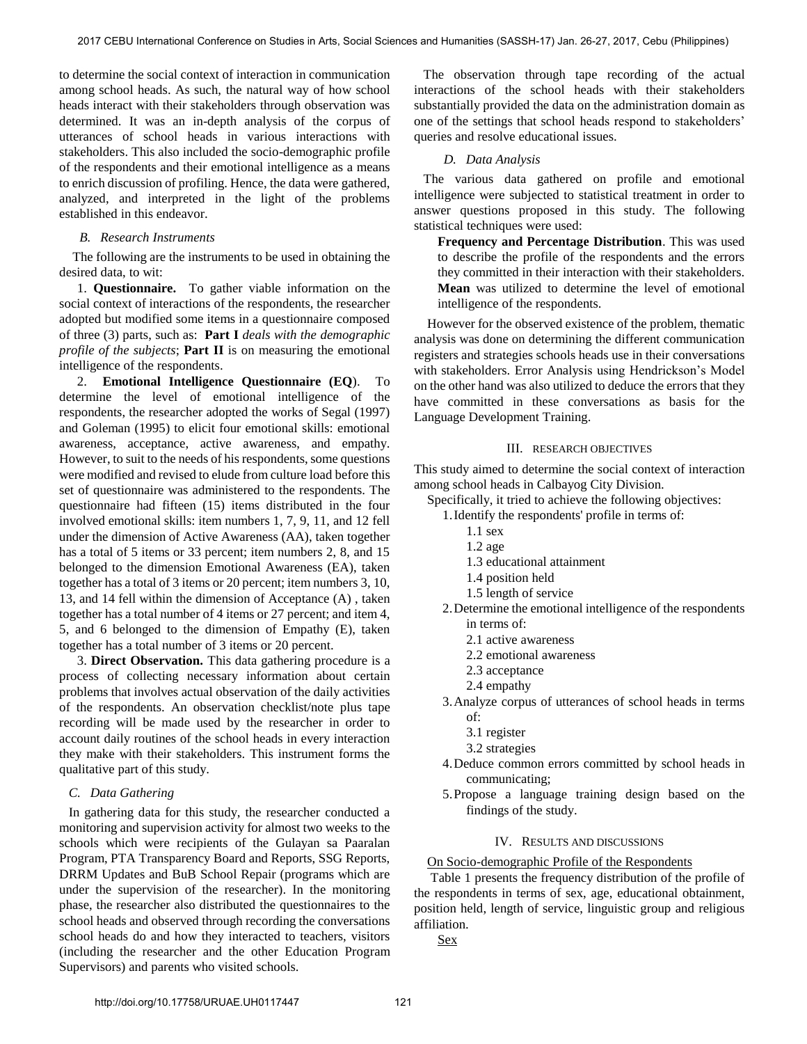to determine the social context of interaction in communication among school heads. As such, the natural way of how school heads interact with their stakeholders through observation was determined. It was an in-depth analysis of the corpus of utterances of school heads in various interactions with stakeholders. This also included the socio-demographic profile of the respondents and their emotional intelligence as a means to enrich discussion of profiling. Hence, the data were gathered, analyzed, and interpreted in the light of the problems established in this endeavor.

# *B. Research Instruments*

 The following are the instruments to be used in obtaining the desired data, to wit:

1. **Questionnaire.** To gather viable information on the social context of interactions of the respondents, the researcher adopted but modified some items in a questionnaire composed of three (3) parts, such as: **Part I** *deals with the demographic profile of the subjects*; **Part II** is on measuring the emotional intelligence of the respondents.

2. **Emotional Intelligence Questionnaire (EQ**). To determine the level of emotional intelligence of the respondents, the researcher adopted the works of Segal (1997) and Goleman (1995) to elicit four emotional skills: emotional awareness, acceptance, active awareness, and empathy. However, to suit to the needs of his respondents, some questions were modified and revised to elude from culture load before this set of questionnaire was administered to the respondents. The questionnaire had fifteen (15) items distributed in the four involved emotional skills: item numbers 1, 7, 9, 11, and 12 fell under the dimension of Active Awareness (AA), taken together has a total of 5 items or 33 percent; item numbers 2, 8, and 15 belonged to the dimension Emotional Awareness (EA), taken together has a total of 3 items or 20 percent; item numbers 3, 10, 13, and 14 fell within the dimension of Acceptance (A) , taken together has a total number of 4 items or 27 percent; and item 4, 5, and 6 belonged to the dimension of Empathy (E), taken together has a total number of 3 items or 20 percent.

3. **Direct Observation.** This data gathering procedure is a process of collecting necessary information about certain problems that involves actual observation of the daily activities of the respondents. An observation checklist/note plus tape recording will be made used by the researcher in order to account daily routines of the school heads in every interaction they make with their stakeholders. This instrument forms the qualitative part of this study.

## *C. Data Gathering*

In gathering data for this study, the researcher conducted a monitoring and supervision activity for almost two weeks to the schools which were recipients of the Gulayan sa Paaralan Program, PTA Transparency Board and Reports, SSG Reports, DRRM Updates and BuB School Repair (programs which are under the supervision of the researcher). In the monitoring phase, the researcher also distributed the questionnaires to the school heads and observed through recording the conversations school heads do and how they interacted to teachers, visitors (including the researcher and the other Education Program Supervisors) and parents who visited schools.

The observation through tape recording of the actual interactions of the school heads with their stakeholders substantially provided the data on the administration domain as one of the settings that school heads respond to stakeholders' queries and resolve educational issues.

# *D. Data Analysis*

The various data gathered on profile and emotional intelligence were subjected to statistical treatment in order to answer questions proposed in this study. The following statistical techniques were used:

**Frequency and Percentage Distribution**. This was used to describe the profile of the respondents and the errors they committed in their interaction with their stakeholders. **Mean** was utilized to determine the level of emotional intelligence of the respondents.

However for the observed existence of the problem, thematic analysis was done on determining the different communication registers and strategies schools heads use in their conversations with stakeholders. Error Analysis using Hendrickson's Model on the other hand was also utilized to deduce the errors that they have committed in these conversations as basis for the Language Development Training.

# III. RESEARCH OBJECTIVES

This study aimed to determine the social context of interaction among school heads in Calbayog City Division.

Specifically, it tried to achieve the following objectives:

- 1.Identify the respondents' profile in terms of:
	- 1.1 sex
	- 1.2 age
	- 1.3 educational attainment
	- 1.4 position held
	- 1.5 length of service
- 2.Determine the emotional intelligence of the respondents in terms of:
	- 2.1 active awareness
	- 2.2 emotional awareness
	- 2.3 acceptance
	- 2.4 empathy
- 3.Analyze corpus of utterances of school heads in terms of:
	- 3.1 register
	- 3.2 strategies
- 4.Deduce common errors committed by school heads in communicating;
- 5.Propose a language training design based on the findings of the study.

# IV. RESULTS AND DISCUSSIONS

# On Socio-demographic Profile of the Respondents

Table 1 presents the frequency distribution of the profile of the respondents in terms of sex, age, educational obtainment, position held, length of service, linguistic group and religious affiliation.

Sex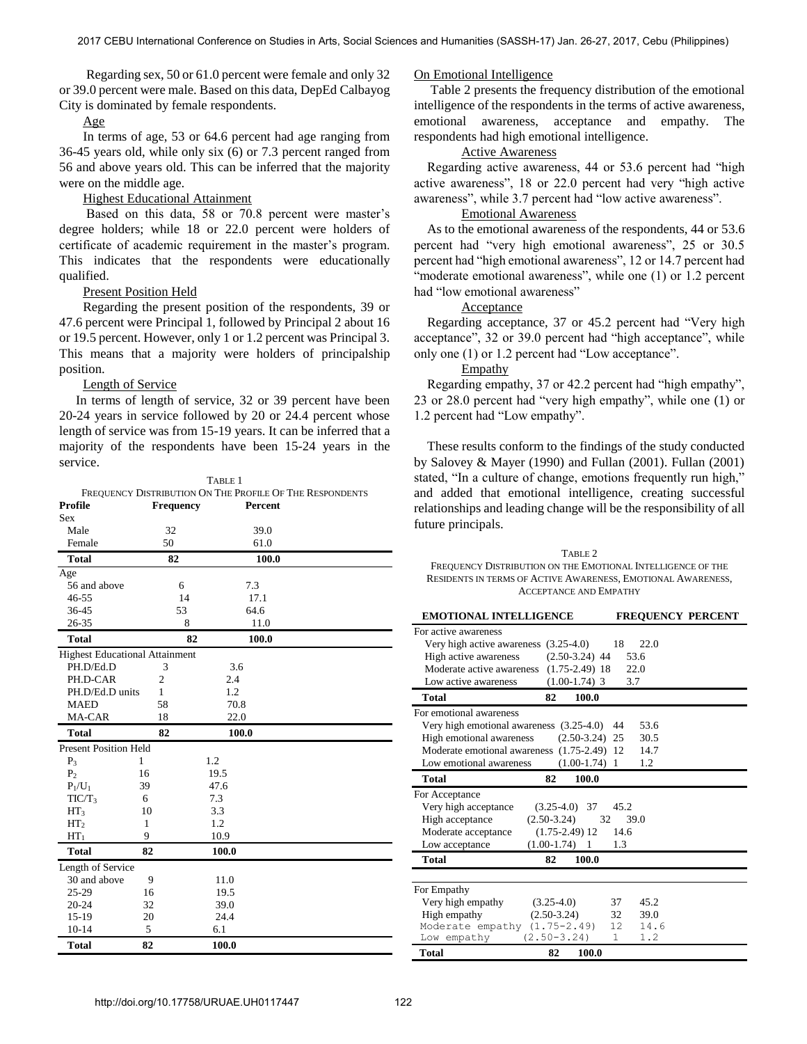Regarding sex, 50 or 61.0 percent were female and only 32 or 39.0 percent were male. Based on this data, DepEd Calbayog City is dominated by female respondents.

# Age

In terms of age, 53 or 64.6 percent had age ranging from 36-45 years old, while only six (6) or 7.3 percent ranged from 56 and above years old. This can be inferred that the majority were on the middle age.

## Highest Educational Attainment

Based on this data, 58 or 70.8 percent were master's degree holders; while 18 or 22.0 percent were holders of certificate of academic requirement in the master's program. This indicates that the respondents were educationally qualified.

# Present Position Held

Regarding the present position of the respondents, 39 or 47.6 percent were Principal 1, followed by Principal 2 about 16 or 19.5 percent. However, only 1 or 1.2 percent was Principal 3. This means that a majority were holders of principalship position.

## Length of Service

 In terms of length of service, 32 or 39 percent have been 20-24 years in service followed by 20 or 24.4 percent whose length of service was from 15-19 years. It can be inferred that a majority of the respondents have been 15-24 years in the service.

| TABLE 1                                                  |                |                  |       |                |  |  |  |  |
|----------------------------------------------------------|----------------|------------------|-------|----------------|--|--|--|--|
| FREQUENCY DISTRIBUTION ON THE PROFILE OF THE RESPONDENTS |                |                  |       |                |  |  |  |  |
| <b>Profile</b>                                           |                | <b>Frequency</b> |       | <b>Percent</b> |  |  |  |  |
| <b>Sex</b>                                               |                |                  |       |                |  |  |  |  |
| Male                                                     |                | 32               |       | 39.0           |  |  |  |  |
| Female                                                   |                | 50               |       | 61.0           |  |  |  |  |
| <b>Total</b>                                             |                | 82               |       | 100.0          |  |  |  |  |
| Age                                                      |                |                  |       |                |  |  |  |  |
| 56 and above                                             |                | 6                |       | 7.3            |  |  |  |  |
| $46 - 55$                                                |                | 14               |       | 17.1           |  |  |  |  |
| 36-45                                                    |                | 53               |       | 64.6           |  |  |  |  |
| 26-35                                                    |                | 8                |       | 11.0           |  |  |  |  |
| <b>Total</b>                                             |                | 82               |       | 100.0          |  |  |  |  |
| <b>Highest Educational Attainment</b>                    |                |                  |       |                |  |  |  |  |
| PH.D/Ed.D                                                | 3              |                  | 3.6   |                |  |  |  |  |
| PH.D-CAR                                                 | $\overline{2}$ |                  | 2.4   |                |  |  |  |  |
| PH.D/Ed.D units                                          | 1              |                  | 1.2   |                |  |  |  |  |
| <b>MAED</b>                                              | 58             |                  | 70.8  |                |  |  |  |  |
| MA-CAR                                                   | 18             |                  | 22.0  |                |  |  |  |  |
| <b>Total</b>                                             | 82             |                  | 100.0 |                |  |  |  |  |
| <b>Present Position Held</b>                             |                |                  |       |                |  |  |  |  |
| $P_3$                                                    | 1              |                  | 1.2   |                |  |  |  |  |
| P <sub>2</sub>                                           | 16             |                  | 19.5  |                |  |  |  |  |
| $P_1/U_1$                                                | 39             |                  | 47.6  |                |  |  |  |  |
| TIC/T <sub>3</sub>                                       | 6              |                  | 7.3   |                |  |  |  |  |
| HT <sub>3</sub>                                          | 10             |                  | 3.3   |                |  |  |  |  |
| HT <sub>2</sub>                                          | 1              |                  | 1.2   |                |  |  |  |  |
| $HT_1$                                                   | 9              |                  | 10.9  |                |  |  |  |  |
| <b>Total</b>                                             | 82             |                  | 100.0 |                |  |  |  |  |
| Length of Service                                        |                |                  |       |                |  |  |  |  |
| 30 and above                                             | 9              |                  | 11.0  |                |  |  |  |  |
| 25-29                                                    | 16             |                  | 19.5  |                |  |  |  |  |
| 20-24                                                    | 32             |                  | 39.0  |                |  |  |  |  |
| 15-19                                                    | 20             |                  | 24.4  |                |  |  |  |  |
| $10-14$                                                  | 5              |                  | 6.1   |                |  |  |  |  |
| <b>Total</b>                                             | 82             |                  | 100.0 |                |  |  |  |  |

#### On Emotional Intelligence

Table 2 presents the frequency distribution of the emotional intelligence of the respondents in the terms of active awareness, emotional awareness, acceptance and empathy. The respondents had high emotional intelligence.

# Active Awareness

Regarding active awareness, 44 or 53.6 percent had "high active awareness", 18 or 22.0 percent had very "high active awareness", while 3.7 percent had "low active awareness".

# Emotional Awareness

As to the emotional awareness of the respondents, 44 or 53.6 percent had "very high emotional awareness", 25 or 30.5 percent had "high emotional awareness", 12 or 14.7 percent had "moderate emotional awareness", while one (1) or 1.2 percent had "low emotional awareness"

# Acceptance

Regarding acceptance, 37 or 45.2 percent had "Very high acceptance", 32 or 39.0 percent had "high acceptance", while only one (1) or 1.2 percent had "Low acceptance".

# Empathy

Regarding empathy, 37 or 42.2 percent had "high empathy", 23 or 28.0 percent had "very high empathy", while one (1) or 1.2 percent had "Low empathy".

These results conform to the findings of the study conducted by Salovey & Mayer (1990) and Fullan (2001). Fullan (2001) stated, "In a culture of change, emotions frequently run high," and added that emotional intelligence, creating successful relationships and leading change will be the responsibility of all future principals.

TABLE 2 FREQUENCY DISTRIBUTION ON THE EMOTIONAL INTELLIGENCE OF THE RESIDENTS IN TERMS OF ACTIVE AWARENESS, EMOTIONAL AWARENESS, ACCEPTANCE AND EMPATHY

| <b>EMOTIONAL INTELLIGENCE</b>                                                                                                                                                       |                                                                           | <b>FREQUENCY PERCENT</b>                           |  |  |
|-------------------------------------------------------------------------------------------------------------------------------------------------------------------------------------|---------------------------------------------------------------------------|----------------------------------------------------|--|--|
| For active awareness<br>Very high active awareness (3.25-4.0)<br>High active awareness<br>Moderate active awareness<br>Low active awareness                                         | $(2.50-3.24)$ 44<br>$(1.75-2.49)$ 18<br>$(1.00-1.74)$ 3                   | 18<br>22.0<br>53.6<br>22.0<br>3.7                  |  |  |
| Total                                                                                                                                                                               | 82<br>100.0                                                               |                                                    |  |  |
| For emotional awareness<br>Very high emotional awareness $(3.25-4.0)$ 44<br>High emotional awareness<br>Moderate emotional awareness (1.75-2.49) 12 14.7<br>Low emotional awareness | $(1.00-1.74)$ 1                                                           | 53.6<br>$(2.50-3.24)$ 25<br>30.5<br>1.2            |  |  |
| <b>Total</b>                                                                                                                                                                        | 100.0<br>82                                                               |                                                    |  |  |
| For Acceptance<br>Very high acceptance<br>High acceptance<br>Moderate acceptance<br>Low acceptance                                                                                  | $(3.25-4.0)$ 37<br>$(2.50-3.24)$<br>$(1.75 - 2.49)$ 12<br>$(1.00-1.74)$ 1 | 45.2<br>32<br>39.0<br>14.6<br>1.3                  |  |  |
| <b>Total</b>                                                                                                                                                                        | 100.0<br>82                                                               |                                                    |  |  |
|                                                                                                                                                                                     |                                                                           |                                                    |  |  |
| For Empathy<br>Very high empathy<br>High empathy<br>Moderate empathy<br>Low empathy                                                                                                 | $(3.25-4.0)$<br>$(2.50-3.24)$<br>$(1.75 - 2.49)$<br>$(2.50 - 3.24)$       | 37<br>45.2<br>32<br>39.0<br>12<br>14.6<br>1.2<br>1 |  |  |
| Total                                                                                                                                                                               | 82<br>100.0                                                               |                                                    |  |  |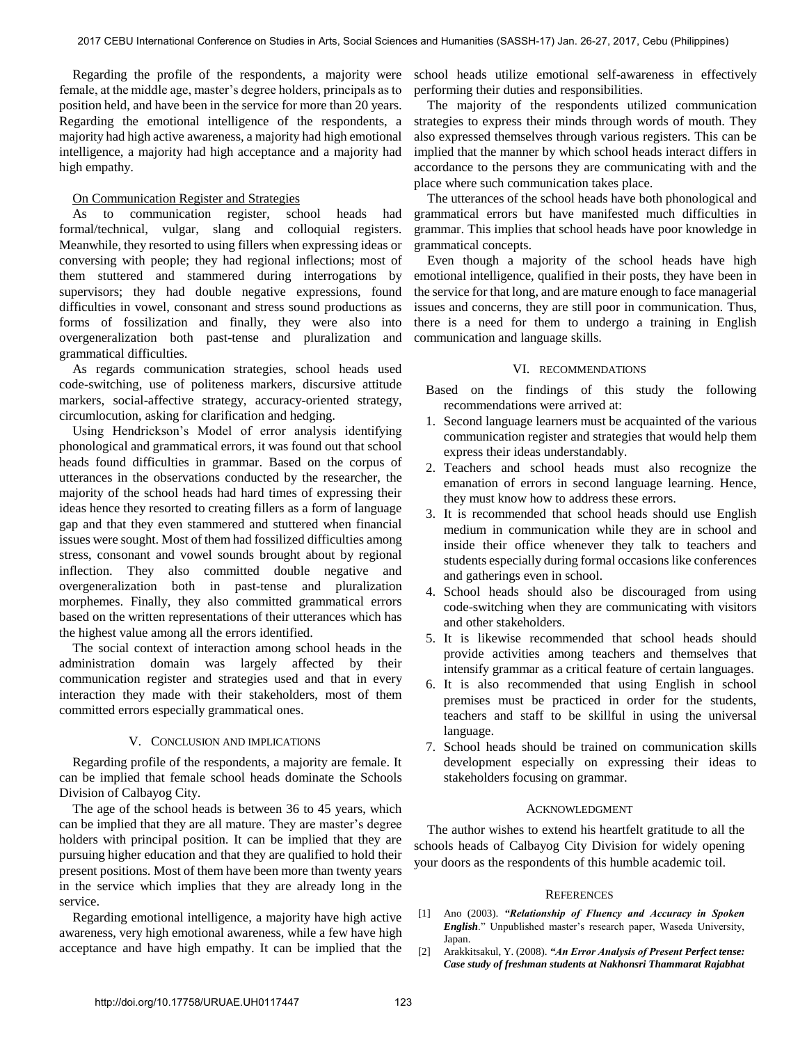Regarding the profile of the respondents, a majority were female, at the middle age, master's degree holders, principals as to position held, and have been in the service for more than 20 years. Regarding the emotional intelligence of the respondents, a majority had high active awareness, a majority had high emotional intelligence, a majority had high acceptance and a majority had high empathy.

# On Communication Register and Strategies

As to communication register, school heads had formal/technical, vulgar, slang and colloquial registers. Meanwhile, they resorted to using fillers when expressing ideas or conversing with people; they had regional inflections; most of them stuttered and stammered during interrogations by supervisors; they had double negative expressions, found difficulties in vowel, consonant and stress sound productions as forms of fossilization and finally, they were also into overgeneralization both past-tense and pluralization and grammatical difficulties.

As regards communication strategies, school heads used code-switching, use of politeness markers, discursive attitude markers, social-affective strategy, accuracy-oriented strategy, circumlocution, asking for clarification and hedging.

Using Hendrickson's Model of error analysis identifying phonological and grammatical errors, it was found out that school heads found difficulties in grammar. Based on the corpus of utterances in the observations conducted by the researcher, the majority of the school heads had hard times of expressing their ideas hence they resorted to creating fillers as a form of language gap and that they even stammered and stuttered when financial issues were sought. Most of them had fossilized difficulties among stress, consonant and vowel sounds brought about by regional inflection. They also committed double negative and overgeneralization both in past-tense and pluralization morphemes. Finally, they also committed grammatical errors based on the written representations of their utterances which has the highest value among all the errors identified.

The social context of interaction among school heads in the administration domain was largely affected by their communication register and strategies used and that in every interaction they made with their stakeholders, most of them committed errors especially grammatical ones.

## V. CONCLUSION AND IMPLICATIONS

Regarding profile of the respondents, a majority are female. It can be implied that female school heads dominate the Schools Division of Calbayog City.

 The age of the school heads is between 36 to 45 years, which can be implied that they are all mature. They are master's degree holders with principal position. It can be implied that they are pursuing higher education and that they are qualified to hold their present positions. Most of them have been more than twenty years in the service which implies that they are already long in the service.

Regarding emotional intelligence, a majority have high active awareness, very high emotional awareness, while a few have high acceptance and have high empathy. It can be implied that the

school heads utilize emotional self-awareness in effectively performing their duties and responsibilities.

The majority of the respondents utilized communication strategies to express their minds through words of mouth. They also expressed themselves through various registers. This can be implied that the manner by which school heads interact differs in accordance to the persons they are communicating with and the place where such communication takes place.

The utterances of the school heads have both phonological and grammatical errors but have manifested much difficulties in grammar. This implies that school heads have poor knowledge in grammatical concepts.

Even though a majority of the school heads have high emotional intelligence, qualified in their posts, they have been in the service for that long, and are mature enough to face managerial issues and concerns, they are still poor in communication. Thus, there is a need for them to undergo a training in English communication and language skills.

## VI. RECOMMENDATIONS

- Based on the findings of this study the following recommendations were arrived at:
- 1. Second language learners must be acquainted of the various communication register and strategies that would help them express their ideas understandably.
- 2. Teachers and school heads must also recognize the emanation of errors in second language learning. Hence, they must know how to address these errors.
- 3. It is recommended that school heads should use English medium in communication while they are in school and inside their office whenever they talk to teachers and students especially during formal occasions like conferences and gatherings even in school.
- 4. School heads should also be discouraged from using code-switching when they are communicating with visitors and other stakeholders.
- 5. It is likewise recommended that school heads should provide activities among teachers and themselves that intensify grammar as a critical feature of certain languages.
- 6. It is also recommended that using English in school premises must be practiced in order for the students, teachers and staff to be skillful in using the universal language.
- 7. School heads should be trained on communication skills development especially on expressing their ideas to stakeholders focusing on grammar.

#### ACKNOWLEDGMENT

The author wishes to extend his heartfelt gratitude to all the schools heads of Calbayog City Division for widely opening your doors as the respondents of this humble academic toil.

#### **REFERENCES**

- [1] Ano (2003). *"Relationship of Fluency and Accuracy in Spoken English*." Unpublished master's research paper, Waseda University, Japan.
- [2] Arakkitsakul, Y. (2008). *"An Error Analysis of Present Perfect tense: Case study of freshman students at Nakhonsri Thammarat Rajabhat*